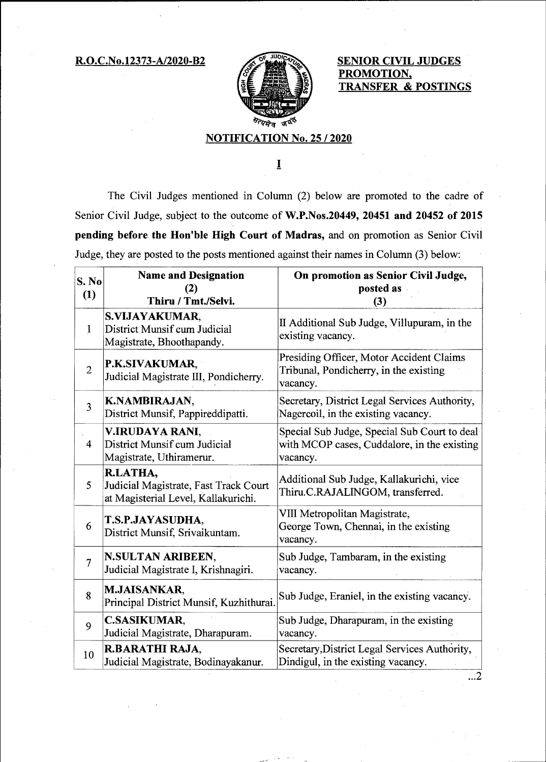R.O.C.No.12373-A/2020-B2 SENIOR CIVIL JUDGES



**PROMOTION, TRANSFER & POSTINGS** 

## **NOTIFICATION No. 25 / 2020**

 $\bf I$ 

The Civil Judges mentioned in Column (2) below are promoted to the cadre of Senior Civil Judge, subject to the outcome of **W.P.Nos.20449, 20451 and 20452 of 2015 pending before the Hon'ble High Court of Madras,** and on promotion as Senior Civil Judge, they are posted to the posts mentioned against their names in Column (3) below:

| S. No<br>(1)            | <b>Name and Designation</b><br>(2)<br>Thiru / Tmt./Selvi.                                | On promotion as Senior Civil Judge,<br>posted as<br>(3)                                                 |
|-------------------------|------------------------------------------------------------------------------------------|---------------------------------------------------------------------------------------------------------|
| $\mathbf{1}$            | <b>S.VIJAYAKUMAR,</b><br>District Munsif cum Judicial<br>Magistrate, Bhoothapandy.       | II Additional Sub Judge, Villupuram, in the<br>existing vacancy.                                        |
| $\overline{2}$          | <b>P.K.SIVAKUMAR,</b><br>Judicial Magistrate III, Pondicherry.                           | Presiding Officer, Motor Accident Claims<br>Tribunal, Pondicherry, in the existing<br>vacancy.          |
| $\overline{\mathbf{3}}$ | K.NAMBIRAJAN,<br>District Munsif, Pappireddipatti.                                       | Secretary, District Legal Services Authority,<br>Nagercoil, in the existing vacancy.                    |
| $\overline{4}$          | V.IRUDAYA RANI,<br>District Munsif cum Judicial<br>Magistrate, Uthiramerur.              | Special Sub Judge, Special Sub Court to deal<br>with MCOP cases, Cuddalore, in the existing<br>vacancy. |
| 5                       | R.LATHA,<br>Judicial Magistrate, Fast Track Court<br>at Magisterial Level, Kallakurichi. | Additional Sub Judge, Kallakurichi, vice<br>Thiru.C.RAJALINGOM, transferred.                            |
| 6                       | T.S.P.JAYASUDHA,<br>District Munsif, Srivaikuntam.                                       | VIII Metropolitan Magistrate,<br>George Town, Chennai, in the existing<br>vacancy.                      |
| $\overline{7}$          | N.SULTAN ARIBEEN,<br>Judicial Magistrate I, Krishnagiri.                                 | Sub Judge, Tambaram, in the existing<br>vacancy.                                                        |
| 8                       | <b>M.JAISANKAR,</b><br>Principal District Munsif, Kuzhithurai.                           | Sub Judge, Eraniel, in the existing vacancy.                                                            |
| 9                       | <b>C.SASIKUMAR,</b><br>Judicial Magistrate, Dharapuram.                                  | Sub Judge, Dharapuram, in the existing<br>vacancy.                                                      |
| 10                      | R.BARATHI RAJA,<br>Judicial Magistrate, Bodinayakanur.                                   | Secretary, District Legal Services Authority,<br>Dindigul, in the existing vacancy.                     |

 $\ldots$ 2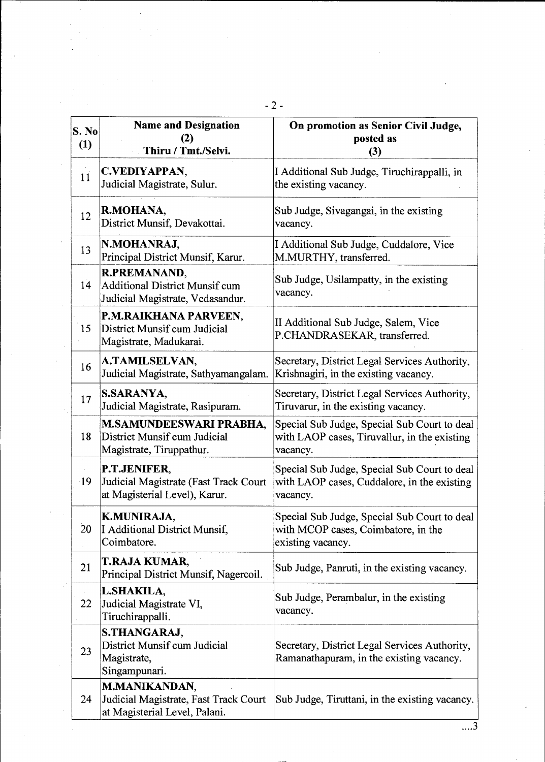| S. No<br>(1) | <b>Name and Designation</b><br>(2)<br>Thiru / Tmt./Selvi.                                      | On promotion as Senior Civil Judge,<br>posted as<br>(3)                                                  |
|--------------|------------------------------------------------------------------------------------------------|----------------------------------------------------------------------------------------------------------|
| 11           | C.VEDIYAPPAN,<br>Judicial Magistrate, Sulur.                                                   | I Additional Sub Judge, Tiruchirappalli, in<br>the existing vacancy.                                     |
| 12           | R.MOHANA,<br>District Munsif, Devakottai.                                                      | Sub Judge, Sivagangai, in the existing<br>vacancy.                                                       |
| 13           | N.MOHANRAJ,<br>Principal District Munsif, Karur.                                               | I Additional Sub Judge, Cuddalore, Vice<br>M.MURTHY, transferred.                                        |
| 14           | <b>R.PREMANAND,</b><br>Additional District Munsif cum<br>Judicial Magistrate, Vedasandur.      | Sub Judge, Usilampatty, in the existing<br>vacancy.                                                      |
| 15           | P.M.RAIKHANA PARVEEN,<br>District Munsif cum Judicial<br>Magistrate, Madukarai.                | II Additional Sub Judge, Salem, Vice<br>P.CHANDRASEKAR, transferred.                                     |
| 16           | A.TAMILSELVAN,<br>Judicial Magistrate, Sathyamangalam.                                         | Secretary, District Legal Services Authority,<br>Krishnagiri, in the existing vacancy.                   |
| 17           | S.SARANYA,<br>Judicial Magistrate, Rasipuram.                                                  | Secretary, District Legal Services Authority,<br>Tiruvarur, in the existing vacancy.                     |
| 18           | M.SAMUNDEESWARI PRABHA,<br>District Munsif cum Judicial<br>Magistrate, Tiruppathur.            | Special Sub Judge, Special Sub Court to deal<br>with LAOP cases, Tiruvallur, in the existing<br>vacancy. |
| $-19$        | P.T.JENIFER,<br>Judicial Magistrate (Fast Track Court<br>at Magisterial Level), Karur.         | Special Sub Judge, Special Sub Court to deal<br>with LAOP cases, Cuddalore, in the existing<br>vacancy.  |
| 20           | K.MUNIRAJA,<br>I Additional District Munsif,<br>Coimbatore.                                    | Special Sub Judge, Special Sub Court to deal<br>with MCOP cases, Coimbatore, in the<br>existing vacancy. |
| 21           | T.RAJA KUMAR,<br>Principal District Munsif, Nagercoil.                                         | Sub Judge, Panruti, in the existing vacancy.                                                             |
| 22           | L.SHAKILA,<br>Judicial Magistrate VI,<br>Tiruchirappalli.                                      | Sub Judge, Perambalur, in the existing<br>vacancy.                                                       |
| 23           | <b>S.THANGARAJ,</b><br>District Munsif cum Judicial<br>Magistrate,<br>Singampunari.            | Secretary, District Legal Services Authority,<br>Ramanathapuram, in the existing vacancy.                |
| 24           | <b>M.MANIKANDAN,</b><br>Judicial Magistrate, Fast Track Court<br>at Magisterial Level, Palani. | Sub Judge, Tiruttani, in the existing vacancy.                                                           |

 $\label{eq:2.1} \begin{split} \frac{1}{\sqrt{2}}\left(\frac{1}{\sqrt{2}}\right)^{2} &\frac{1}{\sqrt{2}}\left(\frac{1}{\sqrt{2}}\right)^{2} &\frac{1}{\sqrt{2}}\left(\frac{1}{\sqrt{2}}\right)^{2} &\frac{1}{\sqrt{2}}\left(\frac{1}{\sqrt{2}}\right)^{2} &\frac{1}{\sqrt{2}}\left(\frac{1}{\sqrt{2}}\right)^{2} &\frac{1}{\sqrt{2}}\left(\frac{1}{\sqrt{2}}\right)^{2} &\frac{1}{\sqrt{2}}\left(\frac{1}{\sqrt{2}}\right)^{2} &\frac{$ 

 $\sim 10^{11}$  .

 $\mathcal{A}^{\mathcal{A}}$ 

 $\label{eq:2.1} \begin{split} \mathcal{L}_{\text{max}}(\mathbf{r}) &= \mathcal{L}_{\text{max}}(\mathbf{r}) \mathcal{L}_{\text{max}}(\mathbf{r}) \mathcal{L}_{\text{max}}(\mathbf{r}) \mathcal{L}_{\text{max}}(\mathbf{r}) \mathcal{L}_{\text{max}}(\mathbf{r}) \mathcal{L}_{\text{max}}(\mathbf{r}) \mathcal{L}_{\text{max}}(\mathbf{r}) \mathcal{L}_{\text{max}}(\mathbf{r}) \mathcal{L}_{\text{max}}(\mathbf{r}) \mathcal{L}_{\text{max}}(\mathbf{r}) \mathcal{L}_{\text{max}}(\mathbf{r}) \$ 

 $\overrightarrow{...3}$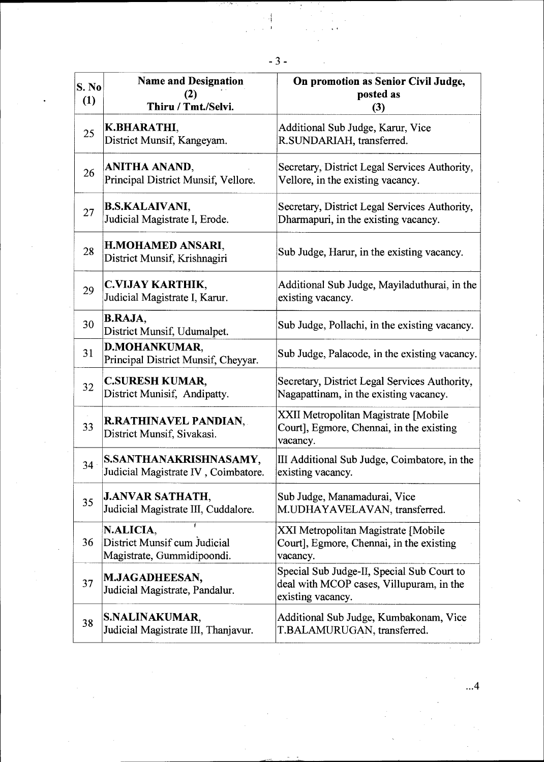| S. No<br>(1) | <b>Name and Designation</b><br>(2)<br>Thiru / Tmt./Selvi.               | On promotion as Senior Civil Judge,<br>posted as<br>(3)                                                     |
|--------------|-------------------------------------------------------------------------|-------------------------------------------------------------------------------------------------------------|
| 25           | K.BHARATHI,<br>District Munsif, Kangeyam.                               | Additional Sub Judge, Karur, Vice<br>R.SUNDARIAH, transferred.                                              |
| 26           | ANITHA ANAND,<br>Principal District Munsif, Vellore.                    | Secretary, District Legal Services Authority,<br>Vellore, in the existing vacancy.                          |
| 27           | <b>B.S.KALAIVANI,</b><br>Judicial Magistrate I, Erode.                  | Secretary, District Legal Services Authority,<br>Dharmapuri, in the existing vacancy.                       |
| 28           | H.MOHAMED ANSARI,<br>District Munsif, Krishnagiri                       | Sub Judge, Harur, in the existing vacancy.                                                                  |
| 29           | C.VIJAY KARTHIK,<br>Judicial Magistrate I, Karur.                       | Additional Sub Judge, Mayiladuthurai, in the<br>existing vacancy.                                           |
| 30           | <b>B.RAJA,</b><br>District Munsif, Udumalpet.                           | Sub Judge, Pollachi, in the existing vacancy.                                                               |
| 31           | <b>D.MOHANKUMAR,</b><br>Principal District Munsif, Cheyyar.             | Sub Judge, Palacode, in the existing vacancy.                                                               |
| 32           | <b>C.SURESH KUMAR,</b><br>District Munisif, Andipatty.                  | Secretary, District Legal Services Authority,<br>Nagapattinam, in the existing vacancy.                     |
| 33           | <b>R.RATHINAVEL PANDIAN,</b><br>District Munsif, Sivakasi.              | XXII Metropolitan Magistrate [Mobile<br>Court], Egmore, Chennai, in the existing<br>vacancy.                |
| 34           | S.SANTHANAKRISHNASAMY,<br>Judicial Magistrate IV, Coimbatore.           | III Additional Sub Judge, Coimbatore, in the<br>existing vacancy.                                           |
| 35           | <b>J.ANVAR SATHATH,</b><br>Judicial Magistrate III, Cuddalore.          | Sub Judge, Manamadurai, Vice<br>M.UDHAYAVELAVAN, transferred.                                               |
| 36           | N.ALICIA,<br>District Munsif cum Judicial<br>Magistrate, Gummidipoondi. | XXI Metropolitan Magistrate [Mobile<br>Court], Egmore, Chennai, in the existing<br>vacancy.                 |
| 37           | M.JAGADHEESAN,<br>Judicial Magistrate, Pandalur.                        | Special Sub Judge-II, Special Sub Court to<br>deal with MCOP cases, Villupuram, in the<br>existing vacancy. |
| 38           | S.NALINAKUMAR,<br>Judicial Magistrate III, Thanjavur.                   | Additional Sub Judge, Kumbakonam, Vice<br>T.BALAMURUGAN, transferred.                                       |

 $\frac{1}{4}$ 

 $\dots 4$